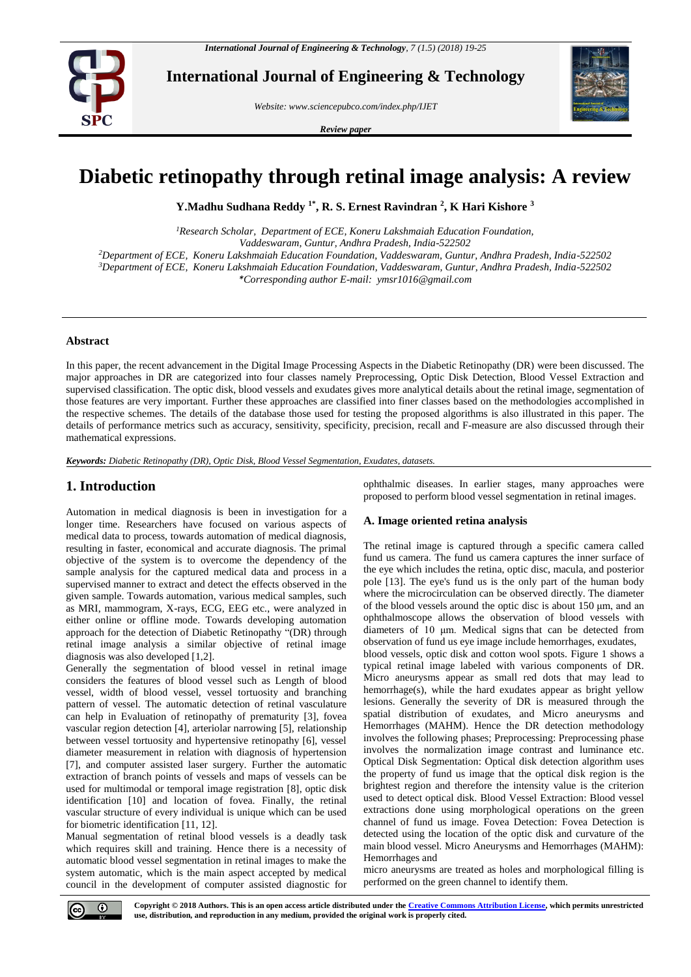

**International Journal of Engineering & Technology**

*Website[: www.sciencepubco.com/index.php/IJET](http://www.sciencepubco.com/index.php/IJET)*

*Review paper*



# **Diabetic retinopathy through retinal image analysis: A review**

**Y.Madhu Sudhana Reddy 1\* , R. S. Ernest Ravindran <sup>2</sup> , K Hari Kishore <sup>3</sup>**

*<sup>1</sup>Research Scholar, Department of ECE, Koneru Lakshmaiah Education Foundation,* 

*Vaddeswaram, Guntur, Andhra Pradesh, India-522502*

*<sup>2</sup>Department of ECE, Koneru Lakshmaiah Education Foundation, Vaddeswaram, Guntur, Andhra Pradesh, India-522502*

*<sup>3</sup>Department of ECE, Koneru Lakshmaiah Education Foundation, Vaddeswaram, Guntur, Andhra Pradesh, India-522502*

*\*Corresponding author E-mail: ymsr1016@gmail.com*

## **Abstract**

In this paper, the recent advancement in the Digital Image Processing Aspects in the Diabetic Retinopathy (DR) were been discussed. The major approaches in DR are categorized into four classes namely Preprocessing, Optic Disk Detection, Blood Vessel Extraction and supervised classification. The optic disk, blood vessels and exudates gives more analytical details about the retinal image, segmentation of those features are very important. Further these approaches are classified into finer classes based on the methodologies accomplished in the respective schemes. The details of the database those used for testing the proposed algorithms is also illustrated in this paper. The details of performance metrics such as accuracy, sensitivity, specificity, precision, recall and F-measure are also discussed through their mathematical expressions.

*Keywords: Diabetic Retinopathy (DR), Optic Disk, Blood Vessel Segmentation, Exudates, datasets.*

# **1. Introduction**

Automation in medical diagnosis is been in investigation for a longer time. Researchers have focused on various aspects of medical data to process, towards automation of medical diagnosis, resulting in faster, economical and accurate diagnosis. The primal objective of the system is to overcome the dependency of the sample analysis for the captured medical data and process in a supervised manner to extract and detect the effects observed in the given sample. Towards automation, various medical samples, such as MRI, mammogram, X-rays, ECG, EEG etc., were analyzed in either online or offline mode. Towards developing automation approach for the detection of Diabetic Retinopathy "(DR) through retinal image analysis a similar objective of retinal image diagnosis was also developed [1,2].

Generally the segmentation of blood vessel in retinal image considers the features of blood vessel such as Length of blood vessel, width of blood vessel, vessel tortuosity and branching pattern of vessel. The automatic detection of retinal vasculature can help in Evaluation of retinopathy of prematurity [3], fovea vascular region detection [4], arteriolar narrowing [5], relationship between vessel tortuosity and hypertensive retinopathy [6], vessel diameter measurement in relation with diagnosis of hypertension [7], and computer assisted laser surgery. Further the automatic extraction of branch points of vessels and maps of vessels can be used for multimodal or temporal image registration [8], optic disk identification [10] and location of fovea. Finally, the retinal vascular structure of every individual is unique which can be used for biometric identification [11, 12].

Manual segmentation of retinal blood vessels is a deadly task which requires skill and training. Hence there is a necessity of automatic blood vessel segmentation in retinal images to make the system automatic, which is the main aspect accepted by medical council in the development of computer assisted diagnostic for ophthalmic diseases. In earlier stages, many approaches were proposed to perform blood vessel segmentation in retinal images.

# **A. Image oriented retina analysis**

The retinal image is captured through a specific camera called fund us camera. The fund us camera captures the inner surface of the eye which includes the retina, optic disc, macula, and posterior pole [13]. The eye's fund us is the only part of the human body where the microcirculation can be observed directly. The diameter of the blood vessels around the optic disc is about 150 μm, and an ophthalmoscope allows the observation of blood vessels with diameters of 10 μm. Medical signs that can be detected from observation of fund us eye image include hemorrhages, exudates, blood vessels, optic disk and cotton wool spots. Figure 1 shows a typical retinal image labeled with various components of DR. Micro aneurysms appear as small red dots that may lead to hemorrhage(s), while the hard exudates appear as bright yellow lesions. Generally the severity of DR is measured through the spatial distribution of exudates, and Micro aneurysms and Hemorrhages (MAHM). Hence the DR detection methodology involves the following phases; Preprocessing: Preprocessing phase involves the normalization image contrast and luminance etc. Optical Disk Segmentation: Optical disk detection algorithm uses the property of fund us image that the optical disk region is the brightest region and therefore the intensity value is the criterion used to detect optical disk. Blood Vessel Extraction: Blood vessel extractions done using morphological operations on the green channel of fund us image. Fovea Detection: Fovea Detection is detected using the location of the optic disk and curvature of the main blood vessel. Micro Aneurysms and Hemorrhages (MAHM): Hemorrhages and

micro aneurysms are treated as holes and morphological filling is performed on the green channel to identify them.

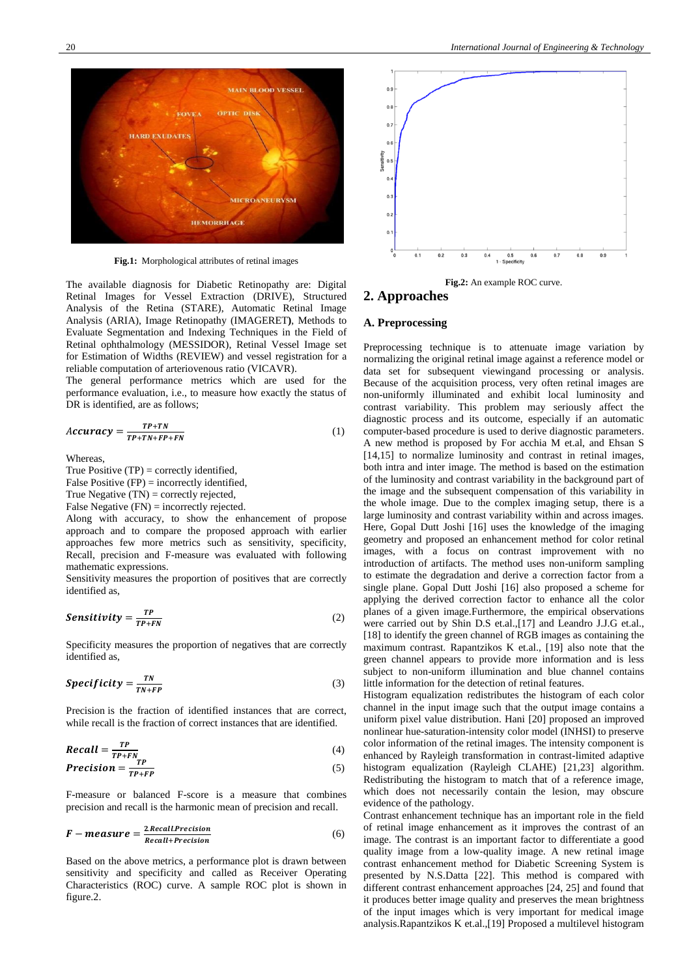

**Fig.1:** Morphological attributes of retinal images

The available diagnosis for Diabetic Retinopathy are: Digital Retinal Images for Vessel Extraction (DRIVE), Structured Analysis of the Retina (STARE), Automatic Retinal Image Analysis (ARIA), Image Retinopathy (IMAGERET**)**, Methods to Evaluate Segmentation and Indexing Techniques in the Field of Retinal ophthalmology (MESSIDOR), Retinal Vessel Image set for Estimation of Widths (REVIEW) and vessel registration for a reliable computation of arteriovenous ratio (VICAVR).

The general performance metrics which are used for the performance evaluation, i.e., to measure how exactly the status of DR is identified, are as follows;

$$
Accuracy = \frac{TP + TN}{TP + TN + FP + FN}
$$
 (1)

Whereas,

True Positive (TP) = correctly identified,

False Positive  $(FP)$  = incorrectly identified,

True Negative  $(TN) =$  correctly rejected,

False Negative  $(FN)$  = incorrectly rejected.

Along with accuracy, to show the enhancement of propose approach and to compare the proposed approach with earlier approaches few more metrics such as sensitivity, specificity, Recall, precision and F-measure was evaluated with following mathematic expressions.

Sensitivity measures the proportion of positives that are correctly identified as,

$$
Sensitivity = \frac{TP}{TP+FN}
$$
 (2)

Specificity measures the proportion of negatives that are correctly identified as

$$
Specificity = \frac{TN}{TN + FP}
$$
 (3)

Precision is the fraction of identified instances that are correct, while recall is the fraction of correct instances that are identified.

$$
Recall = \frac{TP}{TP + FN_{rp}} \tag{4}
$$

$$
Precision = \frac{TP}{TP + FP}
$$
 (5)

F-measure or balanced F-score is a measure that combines precision and recall is the harmonic mean of precision and recall.

$$
F-measure = \frac{2.Recall.Precision}{Recall+Precision}
$$
 (6)

Based on the above metrics, a performance plot is drawn between sensitivity and specificity and called as Receiver Operating Characteristics (ROC) curve. A sample ROC plot is shown in figure.2.



**Fig.2:** An example ROC curve.

# **2. Approaches**

## **A. Preprocessing**

Preprocessing technique is to attenuate image variation by normalizing the original retinal image against a reference model or data set for subsequent viewingand processing or analysis. Because of the acquisition process, very often retinal images are non-uniformly illuminated and exhibit local luminosity and contrast variability. This problem may seriously affect the diagnostic process and its outcome, especially if an automatic computer-based procedure is used to derive diagnostic parameters. A new method is proposed by For acchia M et.al, and Ehsan S [14,15] to normalize luminosity and contrast in retinal images, both intra and inter image. The method is based on the estimation of the luminosity and contrast variability in the background part of the image and the subsequent compensation of this variability in the whole image. Due to the complex imaging setup, there is a large luminosity and contrast variability within and across images. Here, Gopal Dutt Joshi [16] uses the knowledge of the imaging geometry and proposed an enhancement method for color retinal images, with a focus on contrast improvement with no introduction of artifacts. The method uses non-uniform sampling to estimate the degradation and derive a correction factor from a single plane. Gopal Dutt Joshi [16] also proposed a scheme for applying the derived correction factor to enhance all the color planes of a given image.Furthermore, the empirical observations were carried out by Shin D.S et.al.,[17] and Leandro J.J.G et.al., [18] to identify the green channel of RGB images as containing the maximum contrast. Rapantzikos K et.al., [19] also note that the green channel appears to provide more information and is less subject to non-uniform illumination and blue channel contains little information for the detection of retinal features.

Histogram equalization redistributes the histogram of each color channel in the input image such that the output image contains a uniform pixel value distribution. Hani [20] proposed an improved nonlinear hue-saturation-intensity color model (INHSI) to preserve color information of the retinal images. The intensity component is enhanced by Rayleigh transformation in contrast-limited adaptive histogram equalization (Rayleigh CLAHE) [21,23] algorithm. Redistributing the histogram to match that of a reference image, which does not necessarily contain the lesion, may obscure evidence of the pathology.

Contrast enhancement technique has an important role in the field of retinal image enhancement as it improves the contrast of an image. The contrast is an important factor to differentiate a good quality image from a low-quality image. A new retinal image contrast enhancement method for Diabetic Screening System is presented by N.S.Datta [22]. This method is compared with different contrast enhancement approaches [24, 25] and found that it produces better image quality and preserves the mean brightness of the input images which is very important for medical image analysis.Rapantzikos K et.al.,[19] Proposed a multilevel histogram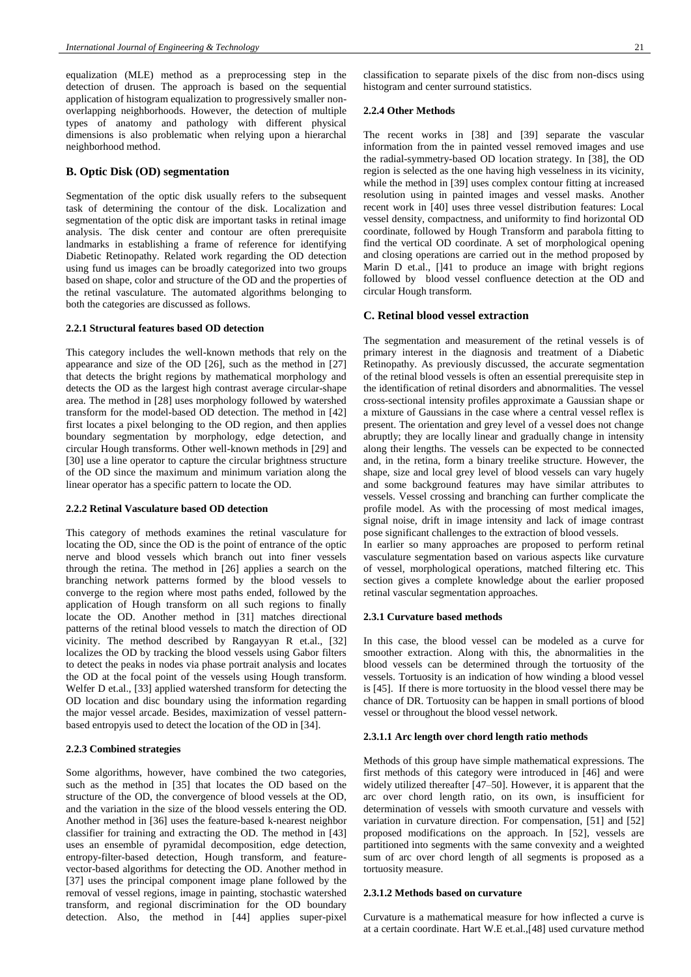equalization (MLE) method as a preprocessing step in the detection of drusen. The approach is based on the sequential application of histogram equalization to progressively smaller nonoverlapping neighborhoods. However, the detection of multiple types of anatomy and pathology with different physical dimensions is also problematic when relying upon a hierarchal neighborhood method.

## **B. Optic Disk (OD) segmentation**

Segmentation of the optic disk usually refers to the subsequent task of determining the contour of the disk. Localization and segmentation of the optic disk are important tasks in retinal image analysis. The disk center and contour are often prerequisite landmarks in establishing a frame of reference for identifying Diabetic Retinopathy. Related work regarding the OD detection using fund us images can be broadly categorized into two groups based on shape, color and structure of the OD and the properties of the retinal vasculature. The automated algorithms belonging to both the categories are discussed as follows.

## **2.2.1 Structural features based OD detection**

This category includes the well-known methods that rely on the appearance and size of the OD [26], such as the method in [27] that detects the bright regions by mathematical morphology and detects the OD as the largest high contrast average circular-shape area. The method in [28] uses morphology followed by watershed transform for the model-based OD detection. The method in [42] first locates a pixel belonging to the OD region, and then applies boundary segmentation by morphology, edge detection, and circular Hough transforms. Other well-known methods in [29] and [30] use a line operator to capture the circular brightness structure of the OD since the maximum and minimum variation along the linear operator has a specific pattern to locate the OD.

#### **2.2.2 Retinal Vasculature based OD detection**

This category of methods examines the retinal vasculature for locating the OD, since the OD is the point of entrance of the optic nerve and blood vessels which branch out into finer vessels through the retina. The method in [26] applies a search on the branching network patterns formed by the blood vessels to converge to the region where most paths ended, followed by the application of Hough transform on all such regions to finally locate the OD. Another method in [31] matches directional patterns of the retinal blood vessels to match the direction of OD vicinity. The method described by Rangayyan R et.al., [32] localizes the OD by tracking the blood vessels using Gabor filters to detect the peaks in nodes via phase portrait analysis and locates the OD at the focal point of the vessels using Hough transform. Welfer D et.al., [33] applied watershed transform for detecting the OD location and disc boundary using the information regarding the major vessel arcade. Besides, maximization of vessel patternbased entropyis used to detect the location of the OD in [34].

#### **2.2.3 Combined strategies**

Some algorithms, however, have combined the two categories, such as the method in [35] that locates the OD based on the structure of the OD, the convergence of blood vessels at the OD, and the variation in the size of the blood vessels entering the OD. Another method in [36] uses the feature-based k-nearest neighbor classifier for training and extracting the OD. The method in [43] uses an ensemble of pyramidal decomposition, edge detection, entropy-filter-based detection, Hough transform, and featurevector-based algorithms for detecting the OD. Another method in [37] uses the principal component image plane followed by the removal of vessel regions, image in painting, stochastic watershed transform, and regional discrimination for the OD boundary detection. Also, the method in [44] applies super-pixel classification to separate pixels of the disc from non-discs using histogram and center surround statistics.

## **2.2.4 Other Methods**

The recent works in [38] and [39] separate the vascular information from the in painted vessel removed images and use the radial-symmetry-based OD location strategy. In [38], the OD region is selected as the one having high vesselness in its vicinity, while the method in [39] uses complex contour fitting at increased resolution using in painted images and vessel masks. Another recent work in [40] uses three vessel distribution features: Local vessel density, compactness, and uniformity to find horizontal OD coordinate, followed by Hough Transform and parabola fitting to find the vertical OD coordinate. A set of morphological opening and closing operations are carried out in the method proposed by Marin D et.al., [141 to produce an image with bright regions followed by blood vessel confluence detection at the OD and circular Hough transform.

## **C. Retinal blood vessel extraction**

The segmentation and measurement of the retinal vessels is of primary interest in the diagnosis and treatment of a Diabetic Retinopathy. As previously discussed, the accurate segmentation of the retinal blood vessels is often an essential prerequisite step in the identification of retinal disorders and abnormalities. The vessel cross-sectional intensity profiles approximate a Gaussian shape or a mixture of Gaussians in the case where a central vessel reflex is present. The orientation and grey level of a vessel does not change abruptly; they are locally linear and gradually change in intensity along their lengths. The vessels can be expected to be connected and, in the retina, form a binary treelike structure. However, the shape, size and local grey level of blood vessels can vary hugely and some background features may have similar attributes to vessels. Vessel crossing and branching can further complicate the profile model. As with the processing of most medical images, signal noise, drift in image intensity and lack of image contrast pose significant challenges to the extraction of blood vessels.

In earlier so many approaches are proposed to perform retinal vasculature segmentation based on various aspects like curvature of vessel, morphological operations, matched filtering etc. This section gives a complete knowledge about the earlier proposed retinal vascular segmentation approaches.

#### **2.3.1 Curvature based methods**

In this case, the blood vessel can be modeled as a curve for smoother extraction. Along with this, the abnormalities in the blood vessels can be determined through the tortuosity of the vessels. Tortuosity is an indication of how winding a blood vessel is [45]. If there is more tortuosity in the blood vessel there may be chance of DR. Tortuosity can be happen in small portions of blood vessel or throughout the blood vessel network.

#### **2.3.1.1 Arc length over chord length ratio methods**

Methods of this group have simple mathematical expressions. The first methods of this category were introduced in [46] and were widely utilized thereafter [47–50]. However, it is apparent that the arc over chord length ratio, on its own, is insufficient for determination of vessels with smooth curvature and vessels with variation in curvature direction. For compensation, [51] and [52] proposed modifications on the approach. In [52], vessels are partitioned into segments with the same convexity and a weighted sum of arc over chord length of all segments is proposed as a tortuosity measure.

## **2.3.1.2 Methods based on curvature**

Curvature is a mathematical measure for how inflected a curve is at a certain coordinate. Hart W.E et.al.,[48] used curvature method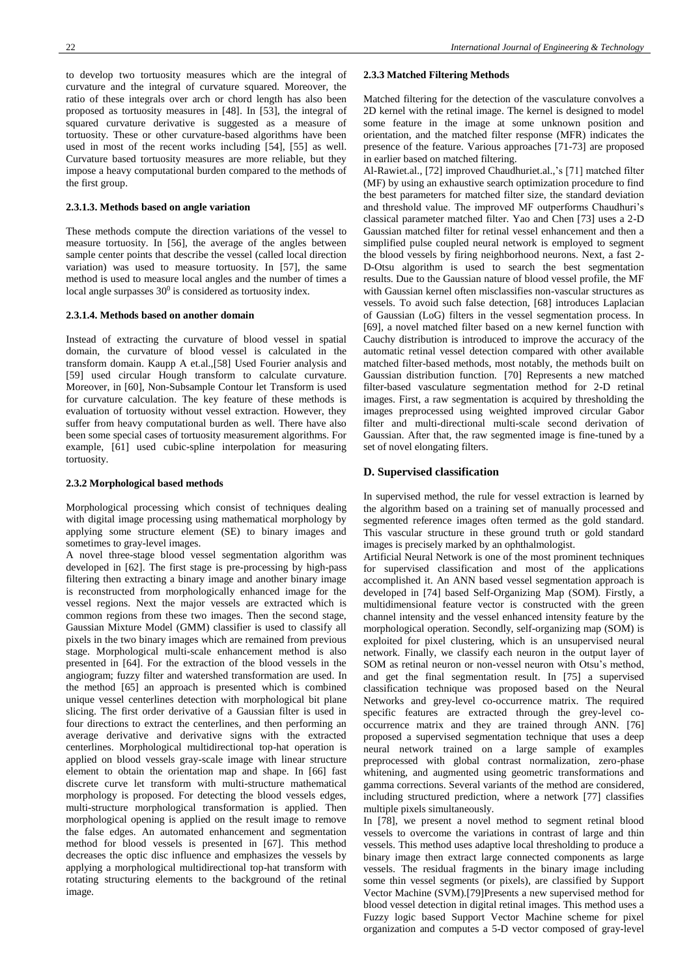to develop two tortuosity measures which are the integral of curvature and the integral of curvature squared. Moreover, the ratio of these integrals over arch or chord length has also been proposed as tortuosity measures in [48]. In [53], the integral of squared curvature derivative is suggested as a measure of tortuosity. These or other curvature-based algorithms have been used in most of the recent works including [54], [55] as well. Curvature based tortuosity measures are more reliable, but they impose a heavy computational burden compared to the methods of the first group.

## **2.3.1.3. Methods based on angle variation**

These methods compute the direction variations of the vessel to measure tortuosity. In [56], the average of the angles between sample center points that describe the vessel (called local direction variation) was used to measure tortuosity. In [57], the same method is used to measure local angles and the number of times a local angle surpasses  $30^0$  is considered as tortuosity index.

## **2.3.1.4. Methods based on another domain**

Instead of extracting the curvature of blood vessel in spatial domain, the curvature of blood vessel is calculated in the transform domain. Kaupp A et.al.,[58] Used Fourier analysis and [59] used circular Hough transform to calculate curvature. Moreover, in [60], Non-Subsample Contour let Transform is used for curvature calculation. The key feature of these methods is evaluation of tortuosity without vessel extraction. However, they suffer from heavy computational burden as well. There have also been some special cases of tortuosity measurement algorithms. For example, [61] used cubic-spline interpolation for measuring tortuosity.

### **2.3.2 Morphological based methods**

Morphological processing which consist of techniques dealing with digital image processing using mathematical morphology by applying some structure element (SE) to binary images and sometimes to gray-level images.

A novel three-stage blood vessel segmentation algorithm was developed in [62]. The first stage is pre-processing by high-pass filtering then extracting a binary image and another binary image is reconstructed from morphologically enhanced image for the vessel regions. Next the major vessels are extracted which is common regions from these two images. Then the second stage, Gaussian Mixture Model (GMM) classifier is used to classify all pixels in the two binary images which are remained from previous stage. Morphological multi-scale enhancement method is also presented in [64]. For the extraction of the blood vessels in the angiogram; fuzzy filter and watershed transformation are used. In the method [65] an approach is presented which is combined unique vessel centerlines detection with morphological bit plane slicing. The first order derivative of a Gaussian filter is used in four directions to extract the centerlines, and then performing an average derivative and derivative signs with the extracted centerlines. Morphological multidirectional top-hat operation is applied on blood vessels gray-scale image with linear structure element to obtain the orientation map and shape. In [66] fast discrete curve let transform with multi-structure mathematical morphology is proposed. For detecting the blood vessels edges, multi-structure morphological transformation is applied. Then morphological opening is applied on the result image to remove the false edges. An automated enhancement and segmentation method for blood vessels is presented in [67]. This method decreases the optic disc influence and emphasizes the vessels by applying a morphological multidirectional top-hat transform with rotating structuring elements to the background of the retinal image.

## **2.3.3 Matched Filtering Methods**

Matched filtering for the detection of the vasculature convolves a 2D kernel with the retinal image. The kernel is designed to model some feature in the image at some unknown position and orientation, and the matched filter response (MFR) indicates the presence of the feature. Various approaches [71-73] are proposed in earlier based on matched filtering.

Al-Rawiet.al., [72] improved Chaudhuriet.al.,'s [71] matched filter (MF) by using an exhaustive search optimization procedure to find the best parameters for matched filter size, the standard deviation and threshold value. The improved MF outperforms Chaudhuri's classical parameter matched filter. Yao and Chen [73] uses a 2-D Gaussian matched filter for retinal vessel enhancement and then a simplified pulse coupled neural network is employed to segment the blood vessels by firing neighborhood neurons. Next, a fast 2- D-Otsu algorithm is used to search the best segmentation results. Due to the Gaussian nature of blood vessel profile, the MF with Gaussian kernel often misclassifies non-vascular structures as vessels. To avoid such false detection, [68] introduces Laplacian of Gaussian (LoG) filters in the vessel segmentation process. In [69], a novel matched filter based on a new kernel function with Cauchy distribution is introduced to improve the accuracy of the automatic retinal vessel detection compared with other available matched filter-based methods, most notably, the methods built on Gaussian distribution function. [70] Represents a new matched filter-based vasculature segmentation method for 2-D retinal images. First, a raw segmentation is acquired by thresholding the images preprocessed using weighted improved circular Gabor filter and multi-directional multi-scale second derivation of Gaussian. After that, the raw segmented image is fine-tuned by a set of novel elongating filters.

## **D. Supervised classification**

In supervised method, the rule for vessel extraction is learned by the algorithm based on a training set of manually processed and segmented reference images often termed as the gold standard. This vascular structure in these ground truth or gold standard images is precisely marked by an ophthalmologist.

Artificial Neural Network is one of the most prominent techniques for supervised classification and most of the applications accomplished it. An ANN based vessel segmentation approach is developed in [74] based Self-Organizing Map (SOM). Firstly, a multidimensional feature vector is constructed with the green channel intensity and the vessel enhanced intensity feature by the morphological operation. Secondly, self-organizing map (SOM) is exploited for pixel clustering, which is an unsupervised neural network. Finally, we classify each neuron in the output layer of SOM as retinal neuron or non-vessel neuron with Otsu's method, and get the final segmentation result. In [75] a supervised classification technique was proposed based on the Neural Networks and grey-level co-occurrence matrix. The required specific features are extracted through the grey-level cooccurrence matrix and they are trained through ANN. [76] proposed a supervised segmentation technique that uses a deep neural network trained on a large sample of examples preprocessed with global contrast normalization, zero-phase whitening, and augmented using geometric transformations and gamma corrections. Several variants of the method are considered, including structured prediction, where a network [77] classifies multiple pixels simultaneously.

In [78], we present a novel method to segment retinal blood vessels to overcome the variations in contrast of large and thin vessels. This method uses adaptive local thresholding to produce a binary image then extract large connected components as large vessels. The residual fragments in the binary image including some thin vessel segments (or pixels), are classified by Support Vector Machine (SVM).[79]Presents a new supervised method for blood vessel detection in digital retinal images. This method uses a Fuzzy logic based Support Vector Machine scheme for pixel organization and computes a 5-D vector composed of gray-level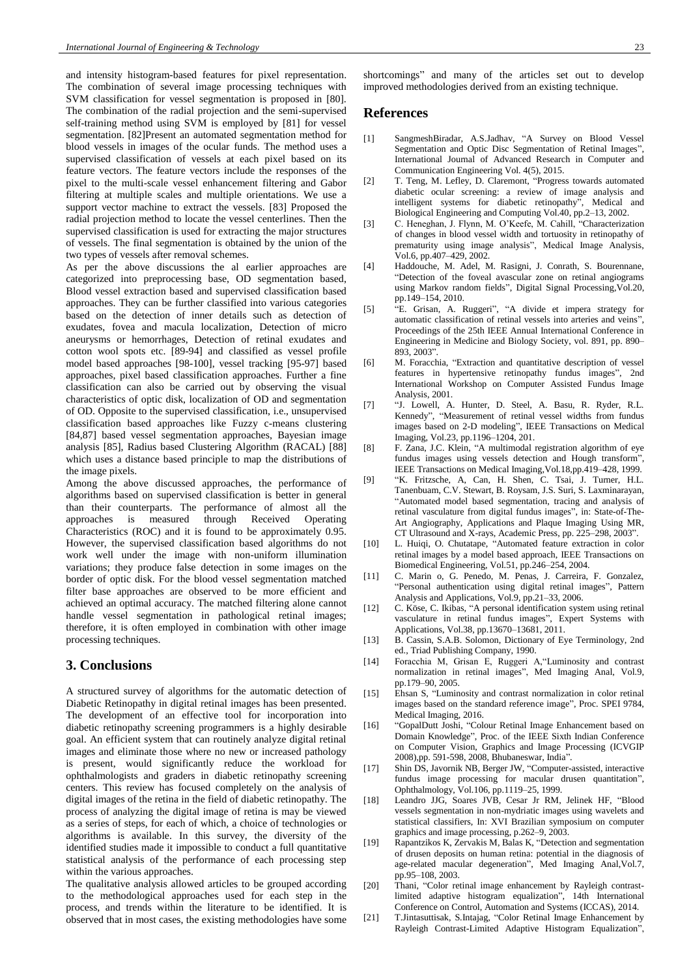and intensity histogram-based features for pixel representation. The combination of several image processing techniques with SVM classification for vessel segmentation is proposed in [80]. The combination of the radial projection and the semi-supervised self-training method using SVM is employed by [81] for vessel segmentation. [82]Present an automated segmentation method for blood vessels in images of the ocular funds. The method uses a supervised classification of vessels at each pixel based on its feature vectors. The feature vectors include the responses of the pixel to the multi-scale vessel enhancement filtering and Gabor filtering at multiple scales and multiple orientations. We use a support vector machine to extract the vessels. [83] Proposed the radial projection method to locate the vessel centerlines. Then the supervised classification is used for extracting the major structures of vessels. The final segmentation is obtained by the union of the two types of vessels after removal schemes.

As per the above discussions the al earlier approaches are categorized into preprocessing base, OD segmentation based, Blood vessel extraction based and supervised classification based approaches. They can be further classified into various categories based on the detection of inner details such as detection of exudates, fovea and macula localization, Detection of micro aneurysms or hemorrhages, Detection of retinal exudates and cotton wool spots etc. [89-94] and classified as vessel profile model based approaches [98-100], vessel tracking [95-97] based approaches, pixel based classification approaches. Further a fine classification can also be carried out by observing the visual characteristics of optic disk, localization of OD and segmentation of OD. Opposite to the supervised classification, i.e., unsupervised classification based approaches like Fuzzy c-means clustering [84,87] based vessel segmentation approaches, Bayesian image analysis [85], Radius based Clustering Algorithm (RACAL) [88] which uses a distance based principle to map the distributions of the image pixels.

Among the above discussed approaches, the performance of algorithms based on supervised classification is better in general than their counterparts. The performance of almost all the approaches is measured through Received Operating Characteristics (ROC) and it is found to be approximately 0.95. However, the supervised classification based algorithms do not work well under the image with non-uniform illumination variations; they produce false detection in some images on the border of optic disk. For the blood vessel segmentation matched filter base approaches are observed to be more efficient and achieved an optimal accuracy. The matched filtering alone cannot handle vessel segmentation in pathological retinal images; therefore, it is often employed in combination with other image processing techniques.

# **3. Conclusions**

A structured survey of algorithms for the automatic detection of Diabetic Retinopathy in digital retinal images has been presented. The development of an effective tool for incorporation into diabetic retinopathy screening programmers is a highly desirable goal. An efficient system that can routinely analyze digital retinal images and eliminate those where no new or increased pathology is present, would significantly reduce the workload for ophthalmologists and graders in diabetic retinopathy screening centers. This review has focused completely on the analysis of digital images of the retina in the field of diabetic retinopathy. The process of analyzing the digital image of retina is may be viewed as a series of steps, for each of which, a choice of technologies or algorithms is available. In this survey, the diversity of the identified studies made it impossible to conduct a full quantitative statistical analysis of the performance of each processing step within the various approaches.

The qualitative analysis allowed articles to be grouped according to the methodological approaches used for each step in the process, and trends within the literature to be identified. It is observed that in most cases, the existing methodologies have some

# **References**

- [1] SangmeshBiradar, A.S.Jadhav, "A Survey on Blood Vessel Segmentation and Optic Disc Segmentation of Retinal Images", International Journal of Advanced Research in Computer and Communication Engineering Vol. 4(5), 2015.
- [2] T. Teng, M. Lefley, D. Claremont, "Progress towards automated diabetic ocular screening: a review of image analysis and intelligent systems for diabetic retinopathy", Medical and Biological Engineering and Computing Vol.40, pp.2–13, 2002.
- [3] C. Heneghan, J. Flynn, M. O'Keefe, M. Cahill, "Characterization of changes in blood vessel width and tortuosity in retinopathy of prematurity using image analysis", Medical Image Analysis, Vol.6, pp.407–429, 2002.
- [4] Haddouche, M. Adel, M. Rasigni, J. Conrath, S. Bourennane, "Detection of the foveal avascular zone on retinal angiograms using Markov random fields", Digital Signal Processing,Vol.20, pp.149–154, 2010.
- [5] "E. Grisan, A. Ruggeri", "A divide et impera strategy for automatic classification of retinal vessels into arteries and veins", Proceedings of the 25th IEEE Annual International Conference in Engineering in Medicine and Biology Society, vol. 891, pp. 890– 893, 2003".
- [6] M. Foracchia, "Extraction and quantitative description of vessel features in hypertensive retinopathy fundus images", 2nd International Workshop on Computer Assisted Fundus Image Analysis, 2001.
- [7] "J. Lowell, A. Hunter, D. Steel, A. Basu, R. Ryder, R.L. Kennedy", "Measurement of retinal vessel widths from fundus images based on 2-D modeling", IEEE Transactions on Medical Imaging, Vol.23, pp.1196–1204, 201.
- [8] F. Zana, J.C. Klein, "A multimodal registration algorithm of eye fundus images using vessels detection and Hough transform", IEEE Transactions on Medical Imaging,Vol.18,pp.419–428, 1999.
- [9] "K. Fritzsche, A, Can, H. Shen, C. Tsai, J. Turner, H.L. Tanenbuam, C.V. Stewart, B. Roysam, J.S. Suri, S. Laxminarayan, "Automated model based segmentation, tracing and analysis of retinal vasculature from digital fundus images", in: State-of-The-Art Angiography, Applications and Plaque Imaging Using MR, CT Ultrasound and X-rays, Academic Press, pp. 225–298, 2003".
- [10] L. Huiqi, O. Chutatape, "Automated feature extraction in color retinal images by a model based approach, IEEE Transactions on Biomedical Engineering, Vol.51, pp.246–254, 2004.
- [11] C. Marin o, G. Penedo, M. Penas, J. Carreira, F. Gonzalez, "Personal authentication using digital retinal images", Pattern Analysis and Applications, Vol.9, pp.21–33, 2006.
- [12] C. Köse, C. Ikibas, "A personal identification system using retinal vasculature in retinal fundus images", Expert Systems with Applications, Vol.38, pp.13670–13681, 2011.
- [13] B. Cassin, S.A.B. Solomon, Dictionary of Eye Terminology, 2nd ed., Triad Publishing Company, 1990.
- [14] Foracchia M, Grisan E, Ruggeri A,"Luminosity and contrast normalization in retinal images", Med Imaging Anal, Vol.9, pp.179–90, 2005.
- [15] Ehsan S, "Luminosity and contrast normalization in color retinal images based on the standard reference image", Proc. SPEI 9784, Medical Imaging, 2016.
- [16] "GopalDutt Joshi, "Colour Retinal Image Enhancement based on Domain Knowledge", Proc. of the IEEE Sixth Indian Conference on Computer Vision, Graphics and Image Processing (ICVGIP 2008),pp. 591-598, 2008, Bhubaneswar, India".
- [17] Shin DS, Javornik NB, Berger JW, "Computer-assisted, interactive fundus image processing for macular drusen quantitation", Ophthalmology, Vol.106, pp.1119–25, 1999.
- [18] Leandro JJG, Soares JVB, Cesar Jr RM, Jelinek HF, "Blood vessels segmentation in non-mydriatic images using wavelets and statistical classifiers, In: XVI Brazilian symposium on computer graphics and image processing, p.262–9, 2003.
- [19] Rapantzikos K, Zervakis M, Balas K, "Detection and segmentation of drusen deposits on human retina: potential in the diagnosis of age-related macular degeneration", Med Imaging Anal,Vol.7, pp.95–108, 2003.
- [20] Thani, "Color retinal image enhancement by Rayleigh contrastlimited adaptive histogram equalization", 14th International Conference on Control, Automation and Systems (ICCAS), 2014.
- [21] T.Jintasuttisak, S.Intajag, "Color Retinal Image Enhancement by Rayleigh Contrast-Limited Adaptive Histogram Equalization",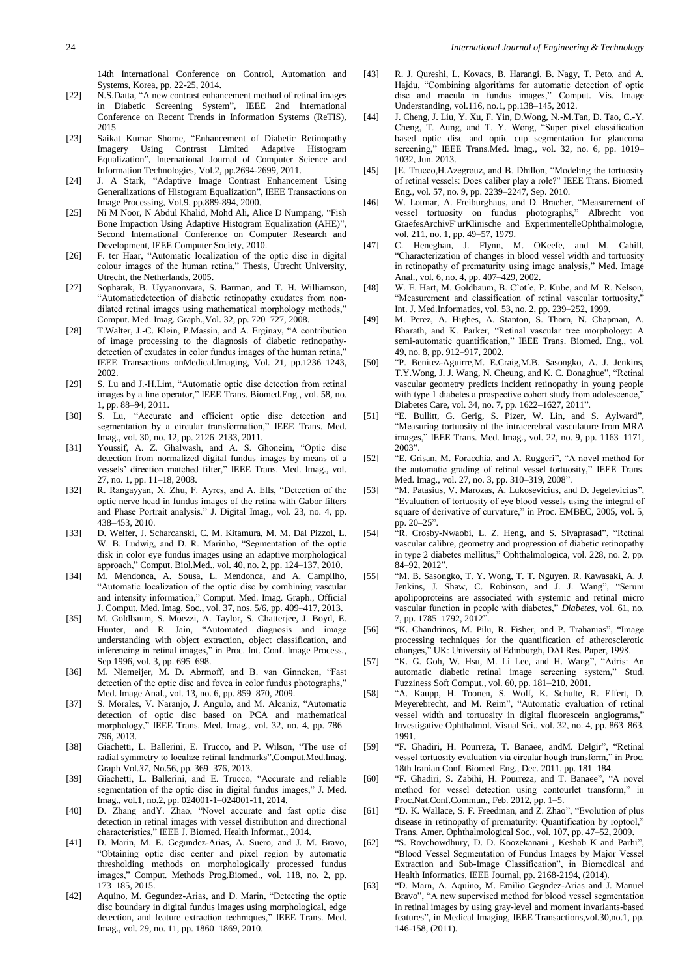14th International Conference on Control, Automation and Systems, Korea, pp. 22-25, 2014.

- [22] N.S.Datta, "A new contrast enhancement method of retinal images in Diabetic Screening System", IEEE 2nd International Conference on Recent Trends in Information Systems (ReTIS), 2015
- [23] Saikat Kumar Shome, "Enhancement of Diabetic Retinopathy Imagery Using Contrast Limited Adaptive Histogram Equalization", International Journal of Computer Science and Information Technologies, Vol.2, pp.2694-2699, 2011.
- [24] J. A Stark, "Adaptive Image Contrast Enhancement Using Generalizations of Histogram Equalization", IEEE Transactions on Image Processing, Vol.9, pp.889-894, 2000.
- [25] Ni M Noor, N Abdul Khalid, Mohd Ali, Alice D Numpang, "Fish Bone Impaction Using Adaptive Histogram Equalization (AHE)", Second International Conference on Computer Research and Development, IEEE Computer Society, 2010.
- [26] F. ter Haar, "Automatic localization of the optic disc in digital colour images of the human retina," Thesis, Utrecht University, Utrecht, the Netherlands, 2005.
- [27] Sopharak, B. Uyyanonvara, S. Barman, and T. H. Williamson, "Automaticdetection of diabetic retinopathy exudates from nondilated retinal images using mathematical morphology methods," Comput. Med. Imag. Graph.,Vol. 32, pp. 720–727, 2008.
- [28] T.Walter, J.-C. Klein, P.Massin, and A. Erginay, "A contribution of image processing to the diagnosis of diabetic retinopathydetection of exudates in color fundus images of the human retina, IEEE Transactions onMedical.Imaging, Vol. 21, pp.1236–1243, 2002.
- [29] S. Lu and J.-H.Lim, "Automatic optic disc detection from retinal images by a line operator," IEEE Trans. Biomed.Eng., vol. 58, no. 1, pp. 88–94, 2011.
- [30] S. Lu, "Accurate and efficient optic disc detection and segmentation by a circular transformation," IEEE Trans. Med. Imag., vol. 30, no. 12, pp. 2126–2133, 2011.
- [31] Youssif, A. Z. Ghalwash, and A. S. Ghoneim, "Optic disc detection from normalized digital fundus images by means of a vessels' direction matched filter," IEEE Trans. Med. Imag., vol. 27, no. 1, pp. 11–18, 2008.
- [32] R. Rangayyan, X. Zhu, F. Ayres, and A. Ells, "Detection of the optic nerve head in fundus images of the retina with Gabor filters and Phase Portrait analysis." J. Digital Imag., vol. 23, no. 4, pp. 438–453, 2010.
- [33] D. Welfer, J. Scharcanski, C. M. Kitamura, M. M. Dal Pizzol, L. W. B. Ludwig, and D. R. Marinho, "Segmentation of the optic disk in color eye fundus images using an adaptive morphological approach," Comput. Biol.Med., vol. 40, no. 2, pp. 124–137, 2010.
- [34] M. Mendonca, A. Sousa, L. Mendonca, and A. Campilho, "Automatic localization of the optic disc by combining vascular and intensity information," Comput. Med. Imag. Graph., Official J. Comput. Med. Imag. Soc*.*, vol. 37, nos. 5/6, pp. 409–417, 2013.
- [35] M. Goldbaum, S. Moezzi, A. Taylor, S. Chatterjee, J. Boyd, E. Hunter, and R. Jain, "Automated diagnosis and image understanding with object extraction, object classification, and inferencing in retinal images," in Proc. Int. Conf. Image Process*.*, Sep 1996, vol. 3, pp. 695–698.
- [36] M. Niemeijer, M. D. Abrmoff, and B. van Ginneken, "Fast detection of the optic disc and fovea in color fundus photographs," Med. Image Anal., vol. 13, no. 6, pp. 859–870, 2009.
- [37] S. Morales, V. Naranjo, J. Angulo, and M. Alcaniz, "Automatic detection of optic disc based on PCA and mathematical morphology," IEEE Trans. Med. Imag*.*, vol. 32, no. 4, pp. 786– 796, 2013.
- [38] Giachetti, L. Ballerini, E. Trucco, and P. Wilson, "The use of radial symmetry to localize retinal landmarks",Comput.Med.Imag. Graph Vol.*37,* No.56, pp. 369–376, 2013.
- [39] Giachetti, L. Ballerini, and E. Trucco, "Accurate and reliable segmentation of the optic disc in digital fundus images," J. Med. Imag., vol.1, no.2, pp. 024001-1–024001-11, 2014.
- [40] D. Zhang and Y. Zhao, "Novel accurate and fast optic disc detection in retinal images with vessel distribution and directional characteristics," IEEE J. Biomed. Health Informat., 2014.
- [41] D. Marin, M. E. Gegundez-Arias, A. Suero, and J. M. Bravo, "Obtaining optic disc center and pixel region by automatic thresholding methods on morphologically processed fundus images," Comput. Methods Prog.Biomed., vol. 118, no. 2, pp. 173–185, 2015.
- [42] Aquino, M. Gegundez-Arias, and D. Marin, "Detecting the optic disc boundary in digital fundus images using morphological, edge detection, and feature extraction techniques," IEEE Trans. Med. Imag., vol. 29, no. 11, pp. 1860–1869, 2010.
- [43] R. J. Qureshi, L. Kovacs, B. Harangi, B. Nagy, T. Peto, and A. Hajdu, "Combining algorithms for automatic detection of optic disc and macula in fundus images," Comput. Vis. Image Understanding, vol.116, no.1, pp.138–145, 2012.
- [44] J. Cheng, J. Liu, Y. Xu, F. Yin, D.Wong, N.-M.Tan, D. Tao, C.-Y. Cheng, T. Aung, and T. Y. Wong, "Super pixel classification based optic disc and optic cup segmentation for glaucoma screening," IEEE Trans.Med. Imag., vol. 32, no. 6, pp. 1019– 1032, Jun. 2013.
- [45] [E. Trucco, H. Azegrouz, and B. Dhillon, "Modeling the tortuosity of retinal vessels: Does caliber play a role?" IEEE Trans. Biomed. Eng*.*, vol. 57, no. 9, pp. 2239–2247, Sep. 2010.
- [46] W. Lotmar, A. Freiburghaus, and D. Bracher, "Measurement of vessel tortuosity on fundus photographs," Albrecht von GraefesArchivF¨urKlinische and ExperimentelleOphthalmologie, vol. 211, no. 1, pp. 49–57, 1979.
- [47] C. Heneghan, J. Flynn, M. OKeefe, and M. Cahill, "Characterization of changes in blood vessel width and tortuosity in retinopathy of prematurity using image analysis," Med. Image Anal., vol. 6, no. 4, pp. 407–429, 2002.
- [48] W. E. Hart, M. Goldbaum, B. Cˆot´e, P. Kube, and M. R. Nelson, "Measurement and classification of retinal vascular tortuosity," Int. J. Med.Informatics, vol. 53, no. 2, pp. 239–252, 1999.
- [49] M. Perez, A. Highes, A. Stanton, S. Thorn, N. Chapman, A. Bharath, and K. Parker, "Retinal vascular tree morphology: A semi-automatic quantification," IEEE Trans. Biomed. Eng., vol. 49, no. 8, pp. 912–917, 2002.
- [50] "P. Benitez-Aguirre,M. E.Craig,M.B. Sasongko, A. J. Jenkins, T.Y.Wong, J. J. Wang, N. Cheung, and K. C. Donaghue", "Retinal vascular geometry predicts incident retinopathy in young people with type 1 diabetes a prospective cohort study from adolescence," Diabetes Care, vol. 34, no. 7, pp. 1622–1627, 2011".
- [51] "E. Bullitt, G. Gerig, S. Pizer, W. Lin, and S. Aylward", "Measuring tortuosity of the intracerebral vasculature from MRA images," IEEE Trans. Med. Imag., vol. 22, no. 9, pp. 1163–1171, 2003".
- [52] "E. Grisan, M. Foracchia, and A. Ruggeri", "A novel method for the automatic grading of retinal vessel tortuosity," IEEE Trans. Med. Imag., vol. 27, no. 3, pp. 310–319, 2008".
- [53] "M. Patasius, V. Marozas, A. Lukosevicius, and D. Jegelevicius", "Evaluation of tortuosity of eye blood vessels using the integral of square of derivative of curvature," in Proc. EMBEC, 2005, vol. 5, pp. 20–25".
- [54] "R. Crosby-Nwaobi, L. Z. Heng, and S. Sivaprasad", "Retinal vascular calibre, geometry and progression of diabetic retinopathy in type 2 diabetes mellitus," Ophthalmologica, vol. 228, no. 2, pp. 84–92, 2012".
- [55] "M. B. Sasongko, T. Y. Wong, T. T. Nguyen, R. Kawasaki, A. J. Jenkins, J. Shaw, C. Robinson, and J. J. Wang", "Serum apolipoproteins are associated with systemic and retinal micro vascular function in people with diabetes," *Diabetes*, vol. 61, no. 7, pp. 1785–1792, 2012".
- [56] "K. Chandrinos, M. Pilu, R. Fisher, and P. Trahanias", "Image processing techniques for the quantification of atherosclerotic changes," UK: University of Edinburgh, DAI Res. Paper, 1998.
- [57] "K. G. Goh, W. Hsu, M. Li Lee, and H. Wang", "Adris: An automatic diabetic retinal image screening system," Stud. Fuzziness Soft Comput., vol. 60, pp. 181–210, 2001.
- [58] "A. Kaupp, H. Toonen, S. Wolf, K. Schulte, R. Effert, D. Meyerebrecht, and M. Reim", "Automatic evaluation of retinal vessel width and tortuosity in digital fluorescein angiograms," Investigative Ophthalmol. Visual Sci., vol. 32, no. 4, pp. 863–863, 1991.
- [59] "F. Ghadiri, H. Pourreza, T. Banaee, andM. Delgir", "Retinal vessel tortuosity evaluation via circular hough transform," in Proc. 18th Iranian Conf. Biomed. Eng., Dec. 2011, pp. 181–184.
- [60] "F. Ghadiri, S. Zabihi, H. Pourreza, and T. Banaee", "A novel method for vessel detection using contourlet transform," in Proc.Nat.Conf.Commun*.*, Feb. 2012, pp. 1–5.
- [61] "D. K. Wallace, S. F. Freedman, and Z. Zhao", "Evolution of plus disease in retinopathy of prematurity: Quantification by roptool," Trans. Amer. Ophthalmological Soc., vol. 107, pp. 47–52, 2009.
- [62] "S. Roychowdhury, D. D. Koozekanani , Keshab K and Parhi", "Blood Vessel Segmentation of Fundus Images by Major Vessel Extraction and Sub-Image Classification", in Biomedical and Health Informatics, IEEE Journal, pp. 2168-2194, (2014).
- [63] "D. Marn, A. Aquino, M. Emilio Gegndez-Arias and J. Manuel Bravo", "A new supervised method for blood vessel segmentation in retinal images by using gray-level and moment invariants-based features", in Medical Imaging, IEEE Transactions,vol.30,no.1, pp. 146-158, (2011).